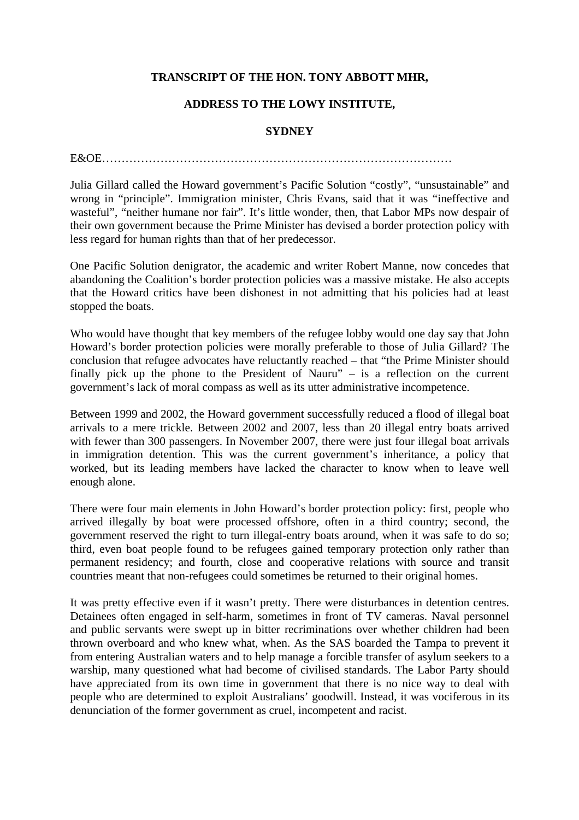## **TRANSCRIPT OF THE HON. TONY ABBOTT MHR,**

## **ADDRESS TO THE LOWY INSTITUTE,**

## **SYDNEY**

E&OE………………………………………………………………………………

Julia Gillard called the Howard government's Pacific Solution "costly", "unsustainable" and wrong in "principle". Immigration minister, Chris Evans, said that it was "ineffective and wasteful", "neither humane nor fair". It's little wonder, then, that Labor MPs now despair of their own government because the Prime Minister has devised a border protection policy with less regard for human rights than that of her predecessor.

One Pacific Solution denigrator, the academic and writer Robert Manne, now concedes that abandoning the Coalition's border protection policies was a massive mistake. He also accepts that the Howard critics have been dishonest in not admitting that his policies had at least stopped the boats.

Who would have thought that key members of the refugee lobby would one day say that John Howard's border protection policies were morally preferable to those of Julia Gillard? The conclusion that refugee advocates have reluctantly reached – that "the Prime Minister should finally pick up the phone to the President of Nauru" – is a reflection on the current government's lack of moral compass as well as its utter administrative incompetence.

Between 1999 and 2002, the Howard government successfully reduced a flood of illegal boat arrivals to a mere trickle. Between 2002 and 2007, less than 20 illegal entry boats arrived with fewer than 300 passengers. In November 2007, there were just four illegal boat arrivals in immigration detention. This was the current government's inheritance, a policy that worked, but its leading members have lacked the character to know when to leave well enough alone.

There were four main elements in John Howard's border protection policy: first, people who arrived illegally by boat were processed offshore, often in a third country; second, the government reserved the right to turn illegal-entry boats around, when it was safe to do so; third, even boat people found to be refugees gained temporary protection only rather than permanent residency; and fourth, close and cooperative relations with source and transit countries meant that non-refugees could sometimes be returned to their original homes.

It was pretty effective even if it wasn't pretty. There were disturbances in detention centres. Detainees often engaged in self-harm, sometimes in front of TV cameras. Naval personnel and public servants were swept up in bitter recriminations over whether children had been thrown overboard and who knew what, when. As the SAS boarded the Tampa to prevent it from entering Australian waters and to help manage a forcible transfer of asylum seekers to a warship, many questioned what had become of civilised standards. The Labor Party should have appreciated from its own time in government that there is no nice way to deal with people who are determined to exploit Australians' goodwill. Instead, it was vociferous in its denunciation of the former government as cruel, incompetent and racist.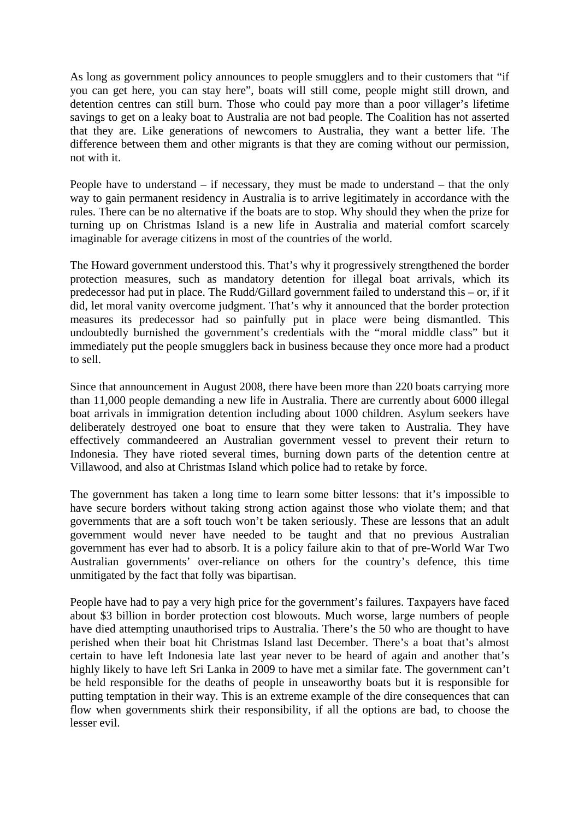As long as government policy announces to people smugglers and to their customers that "if you can get here, you can stay here", boats will still come, people might still drown, and detention centres can still burn. Those who could pay more than a poor villager's lifetime savings to get on a leaky boat to Australia are not bad people. The Coalition has not asserted that they are. Like generations of newcomers to Australia, they want a better life. The difference between them and other migrants is that they are coming without our permission, not with it.

People have to understand – if necessary, they must be made to understand – that the only way to gain permanent residency in Australia is to arrive legitimately in accordance with the rules. There can be no alternative if the boats are to stop. Why should they when the prize for turning up on Christmas Island is a new life in Australia and material comfort scarcely imaginable for average citizens in most of the countries of the world.

The Howard government understood this. That's why it progressively strengthened the border protection measures, such as mandatory detention for illegal boat arrivals, which its predecessor had put in place. The Rudd/Gillard government failed to understand this – or, if it did, let moral vanity overcome judgment. That's why it announced that the border protection measures its predecessor had so painfully put in place were being dismantled. This undoubtedly burnished the government's credentials with the "moral middle class" but it immediately put the people smugglers back in business because they once more had a product to sell.

Since that announcement in August 2008, there have been more than 220 boats carrying more than 11,000 people demanding a new life in Australia. There are currently about 6000 illegal boat arrivals in immigration detention including about 1000 children. Asylum seekers have deliberately destroyed one boat to ensure that they were taken to Australia. They have effectively commandeered an Australian government vessel to prevent their return to Indonesia. They have rioted several times, burning down parts of the detention centre at Villawood, and also at Christmas Island which police had to retake by force.

The government has taken a long time to learn some bitter lessons: that it's impossible to have secure borders without taking strong action against those who violate them; and that governments that are a soft touch won't be taken seriously. These are lessons that an adult government would never have needed to be taught and that no previous Australian government has ever had to absorb. It is a policy failure akin to that of pre-World War Two Australian governments' over-reliance on others for the country's defence, this time unmitigated by the fact that folly was bipartisan.

People have had to pay a very high price for the government's failures. Taxpayers have faced about \$3 billion in border protection cost blowouts. Much worse, large numbers of people have died attempting unauthorised trips to Australia. There's the 50 who are thought to have perished when their boat hit Christmas Island last December. There's a boat that's almost certain to have left Indonesia late last year never to be heard of again and another that's highly likely to have left Sri Lanka in 2009 to have met a similar fate. The government can't be held responsible for the deaths of people in unseaworthy boats but it is responsible for putting temptation in their way. This is an extreme example of the dire consequences that can flow when governments shirk their responsibility, if all the options are bad, to choose the lesser evil.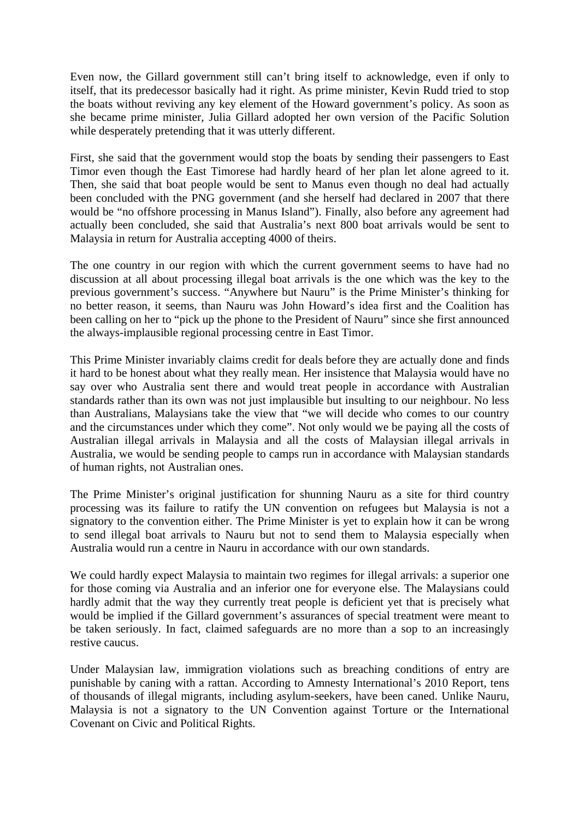Even now, the Gillard government still can't bring itself to acknowledge, even if only to itself, that its predecessor basically had it right. As prime minister, Kevin Rudd tried to stop the boats without reviving any key element of the Howard government's policy. As soon as she became prime minister, Julia Gillard adopted her own version of the Pacific Solution while desperately pretending that it was utterly different.

First, she said that the government would stop the boats by sending their passengers to East Timor even though the East Timorese had hardly heard of her plan let alone agreed to it. Then, she said that boat people would be sent to Manus even though no deal had actually been concluded with the PNG government (and she herself had declared in 2007 that there would be "no offshore processing in Manus Island"). Finally, also before any agreement had actually been concluded, she said that Australia's next 800 boat arrivals would be sent to Malaysia in return for Australia accepting 4000 of theirs.

The one country in our region with which the current government seems to have had no discussion at all about processing illegal boat arrivals is the one which was the key to the previous government's success. "Anywhere but Nauru" is the Prime Minister's thinking for no better reason, it seems, than Nauru was John Howard's idea first and the Coalition has been calling on her to "pick up the phone to the President of Nauru" since she first announced the always-implausible regional processing centre in East Timor.

This Prime Minister invariably claims credit for deals before they are actually done and finds it hard to be honest about what they really mean. Her insistence that Malaysia would have no say over who Australia sent there and would treat people in accordance with Australian standards rather than its own was not just implausible but insulting to our neighbour. No less than Australians, Malaysians take the view that "we will decide who comes to our country and the circumstances under which they come". Not only would we be paying all the costs of Australian illegal arrivals in Malaysia and all the costs of Malaysian illegal arrivals in Australia, we would be sending people to camps run in accordance with Malaysian standards of human rights, not Australian ones.

The Prime Minister's original justification for shunning Nauru as a site for third country processing was its failure to ratify the UN convention on refugees but Malaysia is not a signatory to the convention either. The Prime Minister is yet to explain how it can be wrong to send illegal boat arrivals to Nauru but not to send them to Malaysia especially when Australia would run a centre in Nauru in accordance with our own standards.

We could hardly expect Malaysia to maintain two regimes for illegal arrivals: a superior one for those coming via Australia and an inferior one for everyone else. The Malaysians could hardly admit that the way they currently treat people is deficient yet that is precisely what would be implied if the Gillard government's assurances of special treatment were meant to be taken seriously. In fact, claimed safeguards are no more than a sop to an increasingly restive caucus.

Under Malaysian law, immigration violations such as breaching conditions of entry are punishable by caning with a rattan. According to Amnesty International's 2010 Report, tens of thousands of illegal migrants, including asylum-seekers, have been caned. Unlike Nauru, Malaysia is not a signatory to the UN Convention against Torture or the International Covenant on Civic and Political Rights.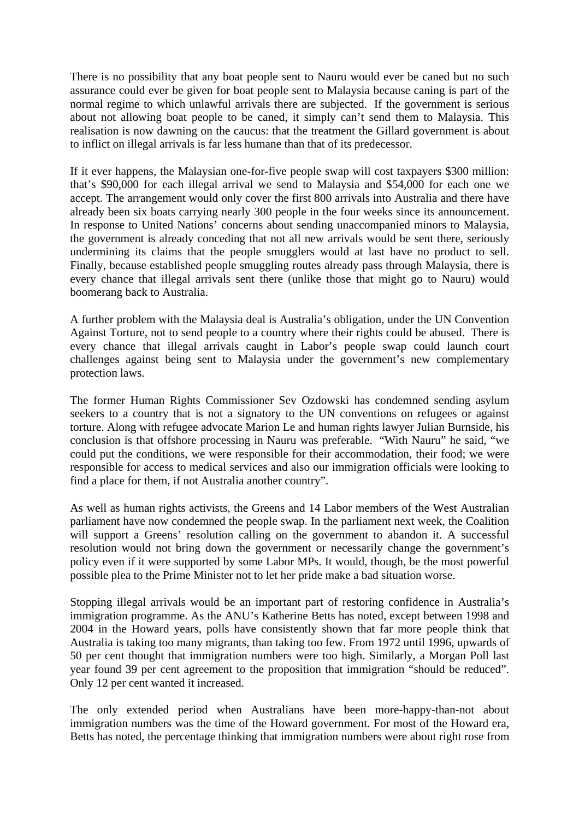There is no possibility that any boat people sent to Nauru would ever be caned but no such assurance could ever be given for boat people sent to Malaysia because caning is part of the normal regime to which unlawful arrivals there are subjected. If the government is serious about not allowing boat people to be caned, it simply can't send them to Malaysia. This realisation is now dawning on the caucus: that the treatment the Gillard government is about to inflict on illegal arrivals is far less humane than that of its predecessor.

If it ever happens, the Malaysian one-for-five people swap will cost taxpayers \$300 million: that's \$90,000 for each illegal arrival we send to Malaysia and \$54,000 for each one we accept. The arrangement would only cover the first 800 arrivals into Australia and there have already been six boats carrying nearly 300 people in the four weeks since its announcement. In response to United Nations' concerns about sending unaccompanied minors to Malaysia, the government is already conceding that not all new arrivals would be sent there, seriously undermining its claims that the people smugglers would at last have no product to sell. Finally, because established people smuggling routes already pass through Malaysia, there is every chance that illegal arrivals sent there (unlike those that might go to Nauru) would boomerang back to Australia.

A further problem with the Malaysia deal is Australia's obligation, under the UN Convention Against Torture, not to send people to a country where their rights could be abused. There is every chance that illegal arrivals caught in Labor's people swap could launch court challenges against being sent to Malaysia under the government's new complementary protection laws.

The former Human Rights Commissioner Sev Ozdowski has condemned sending asylum seekers to a country that is not a signatory to the UN conventions on refugees or against torture. Along with refugee advocate Marion Le and human rights lawyer Julian Burnside, his conclusion is that offshore processing in Nauru was preferable. "With Nauru" he said, "we could put the conditions, we were responsible for their accommodation, their food; we were responsible for access to medical services and also our immigration officials were looking to find a place for them, if not Australia another country".

As well as human rights activists, the Greens and 14 Labor members of the West Australian parliament have now condemned the people swap. In the parliament next week, the Coalition will support a Greens' resolution calling on the government to abandon it. A successful resolution would not bring down the government or necessarily change the government's policy even if it were supported by some Labor MPs. It would, though, be the most powerful possible plea to the Prime Minister not to let her pride make a bad situation worse.

Stopping illegal arrivals would be an important part of restoring confidence in Australia's immigration programme. As the ANU's Katherine Betts has noted, except between 1998 and 2004 in the Howard years, polls have consistently shown that far more people think that Australia is taking too many migrants, than taking too few. From 1972 until 1996, upwards of 50 per cent thought that immigration numbers were too high. Similarly, a Morgan Poll last year found 39 per cent agreement to the proposition that immigration "should be reduced". Only 12 per cent wanted it increased.

The only extended period when Australians have been more-happy-than-not about immigration numbers was the time of the Howard government. For most of the Howard era, Betts has noted, the percentage thinking that immigration numbers were about right rose from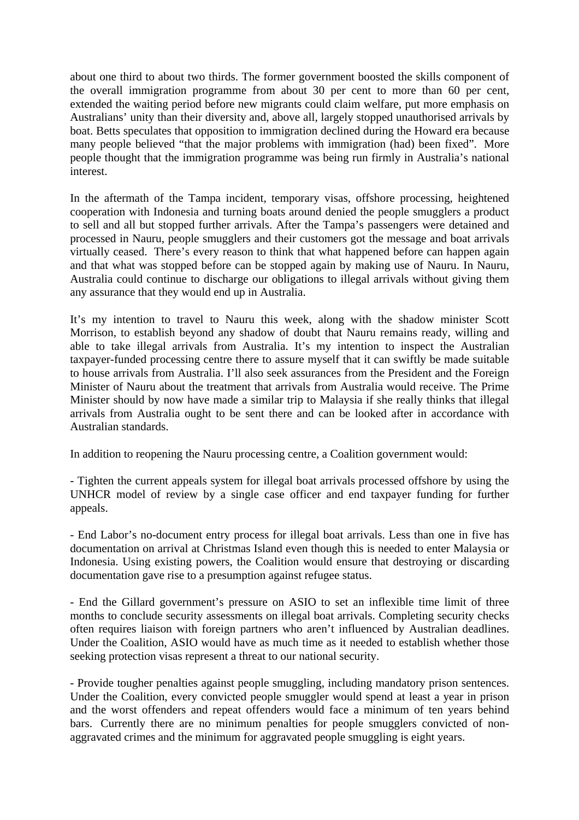about one third to about two thirds. The former government boosted the skills component of the overall immigration programme from about 30 per cent to more than 60 per cent, extended the waiting period before new migrants could claim welfare, put more emphasis on Australians' unity than their diversity and, above all, largely stopped unauthorised arrivals by boat. Betts speculates that opposition to immigration declined during the Howard era because many people believed "that the major problems with immigration (had) been fixed". More people thought that the immigration programme was being run firmly in Australia's national interest.

In the aftermath of the Tampa incident, temporary visas, offshore processing, heightened cooperation with Indonesia and turning boats around denied the people smugglers a product to sell and all but stopped further arrivals. After the Tampa's passengers were detained and processed in Nauru, people smugglers and their customers got the message and boat arrivals virtually ceased. There's every reason to think that what happened before can happen again and that what was stopped before can be stopped again by making use of Nauru. In Nauru, Australia could continue to discharge our obligations to illegal arrivals without giving them any assurance that they would end up in Australia.

It's my intention to travel to Nauru this week, along with the shadow minister Scott Morrison, to establish beyond any shadow of doubt that Nauru remains ready, willing and able to take illegal arrivals from Australia. It's my intention to inspect the Australian taxpayer-funded processing centre there to assure myself that it can swiftly be made suitable to house arrivals from Australia. I'll also seek assurances from the President and the Foreign Minister of Nauru about the treatment that arrivals from Australia would receive. The Prime Minister should by now have made a similar trip to Malaysia if she really thinks that illegal arrivals from Australia ought to be sent there and can be looked after in accordance with Australian standards.

In addition to reopening the Nauru processing centre, a Coalition government would:

- Tighten the current appeals system for illegal boat arrivals processed offshore by using the UNHCR model of review by a single case officer and end taxpayer funding for further appeals.

- End Labor's no-document entry process for illegal boat arrivals. Less than one in five has documentation on arrival at Christmas Island even though this is needed to enter Malaysia or Indonesia. Using existing powers, the Coalition would ensure that destroying or discarding documentation gave rise to a presumption against refugee status.

- End the Gillard government's pressure on ASIO to set an inflexible time limit of three months to conclude security assessments on illegal boat arrivals. Completing security checks often requires liaison with foreign partners who aren't influenced by Australian deadlines. Under the Coalition, ASIO would have as much time as it needed to establish whether those seeking protection visas represent a threat to our national security.

- Provide tougher penalties against people smuggling, including mandatory prison sentences. Under the Coalition, every convicted people smuggler would spend at least a year in prison and the worst offenders and repeat offenders would face a minimum of ten years behind bars. Currently there are no minimum penalties for people smugglers convicted of nonaggravated crimes and the minimum for aggravated people smuggling is eight years.